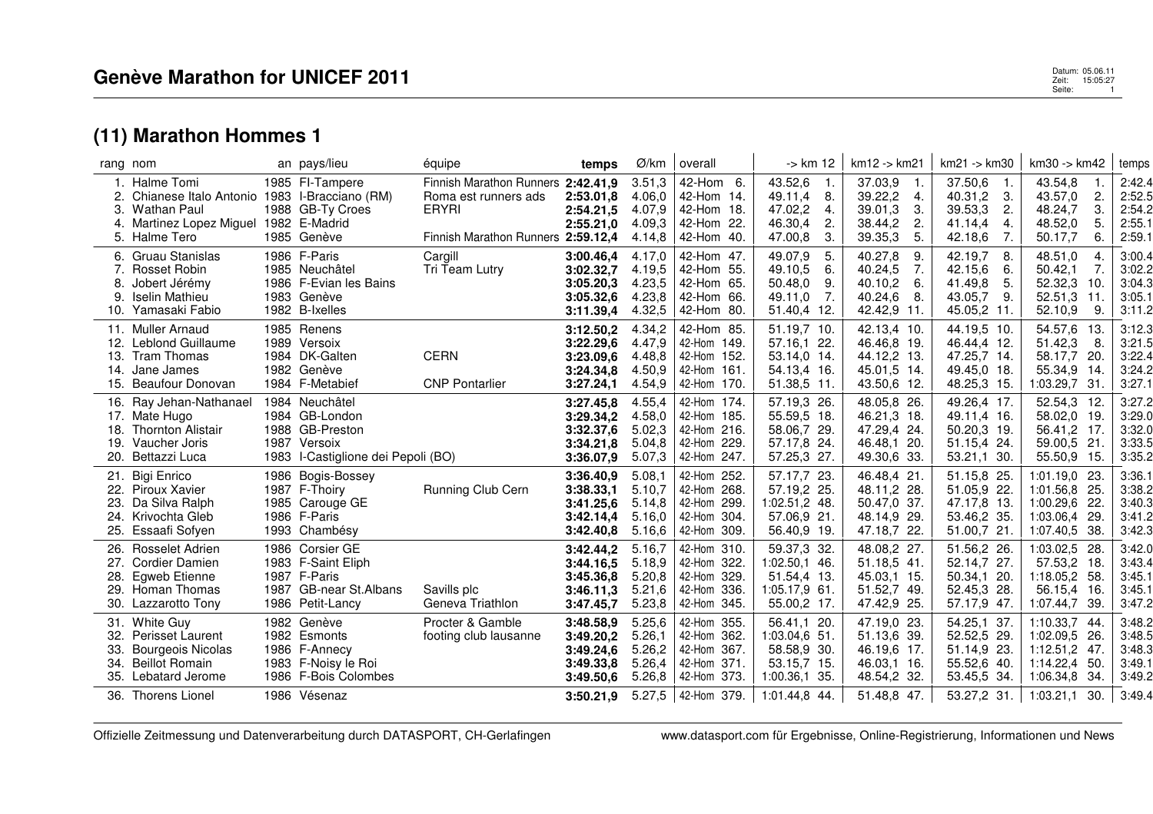## **(11) Marathon Hommes 1**

|                                 | rang nom                                                                                                                             | an pays/lieu                                                                                                | équipe                                                                                                           | temps                                                                      | Ø/km                                                     | overall                                                                                   | -> km 12                                                                                        | km12 -> km21                                                                           | km21 -> km30                                                                                | km30 -> km42                                                                                                | temps                                                    |
|---------------------------------|--------------------------------------------------------------------------------------------------------------------------------------|-------------------------------------------------------------------------------------------------------------|------------------------------------------------------------------------------------------------------------------|----------------------------------------------------------------------------|----------------------------------------------------------|-------------------------------------------------------------------------------------------|-------------------------------------------------------------------------------------------------|----------------------------------------------------------------------------------------|---------------------------------------------------------------------------------------------|-------------------------------------------------------------------------------------------------------------|----------------------------------------------------------|
| З.<br>4.                        | 1. Halme Tomi<br>Chianese Italo Antonio 1983 I-Bracciano (RM)<br>Wathan Paul<br>Martinez Lopez Miguel 1982 E-Madrid<br>5. Halme Tero | 1985 FI-Tampere<br>1988 GB-Ty Croes<br>1985 Genève                                                          | Finnish Marathon Runners 2:42.41,9<br>Roma est runners ads<br><b>ERYRI</b><br>Finnish Marathon Runners 2:59.12,4 | 2:53.01,8<br>2:54.21,5<br>2:55.21,0                                        | 3.51,3<br>4.06.0<br>4.07,9<br>4.09.3<br>4.14,8           | 42-Hom 6.<br>42-Hom 14.<br>42-Hom 18.<br>42-Hom 22.<br>42-Hom<br>40.                      | 43.52,6<br>$\overline{1}$ .<br>49.11,4<br>8.<br>47.02,2<br>4.<br>46.30,4<br>2.<br>47.00,8<br>3. | 37.03,9<br>-1.<br>39.22,2<br>4.<br>39.01,3<br>3.<br>38.44,2<br>2.<br>39.35,3<br>5.     | 37.50,6<br>1.<br>40.31,2<br>3.<br>39.53,3<br>$\mathbf{2}$<br>41.14,4<br>4.<br>42.18,6<br>7. | 43.54,8<br>43.57,0<br>2.<br>48.24,7<br>З.<br>48.52,0<br>5.<br>50.17,7<br>6.                                 | 2:42.4<br>2:52.5<br>2:54.2<br>2:55.1<br>2:59.1           |
| 8.<br>9.                        | 6. Gruau Stanislas<br>Rosset Robin<br>Jobert Jérémy<br><b>Iselin Mathieu</b><br>10. Yamasaki Fabio                                   | 1986 F-Paris<br>1985 Neuchâtel<br>1986 F-Evian les Bains<br>1983 Genève<br>1982 B-Ixelles                   | Cargill<br>Tri Team Lutry                                                                                        | 3:00.46,4<br>3:02.32,7<br>3:05.20,3<br>3:05.32,6<br>3:11.39,4              | 4.17,0<br>4.19.5<br>4.23,5<br>4.23,8<br>4.32,5           | 42-Hom 47.<br>42-Hom 55.<br>42-Hom<br>65.<br>42-Hom 66.<br>42-Hom 80.                     | 49.07,9<br>5.<br>49.10,5<br>6.<br>50.48,0<br>9.<br>49.11,0<br>7.<br>51.40,4 12.                 | 40.27,8<br>9.<br>40.24,5<br>7.<br>40.10,2<br>6.<br>40.24,6<br>-8.<br>42.42,9 11.       | 42.19,7<br>8.<br>42.15,6<br>6.<br>41.49,8<br>5.<br>43.05,7<br>9.<br>45.05,2 11.             | 48.51,0<br>4<br>7.<br>50.42,1<br>52.32,3<br>10.<br>52.51,3<br>11<br>52.10,9<br>9.                           | 3:00.4<br>3:02.2<br>3:04.3<br>3:05.1<br>3:11.2           |
| 12.                             | 11. Muller Arnaud<br>Leblond Guillaume<br>13. Tram Thomas<br>14. Jane James<br>15. Beaufour Donovan                                  | 1985 Renens<br>1989 Versoix<br>1984 DK-Galten<br>1982 Genève<br>1984 F-Metabief                             | <b>CERN</b><br><b>CNP Pontarlier</b>                                                                             | 3:12.50,2<br>3:22.29,6<br>3:23.09,6<br>3:24.34,8<br>3:27.24,1              | 4.34,2<br>4.47,9<br>4.48,8<br>4.50,9<br>4.54,9           | 42-Hom 85.<br>42-Hom 149.<br>42-Hom 152.<br>42-Hom 161.<br>42-Hom 170.                    | 51.19,7 10.<br>57.16.1 22.<br>53.14,0 14.<br>54.13,4 16.<br>51.38,5 11.                         | 42.13,4 10.<br>46.46,8 19.<br>44.12,2 13.<br>45.01.5 14.<br>43.50.6 12.                | 44.19,5 10.<br>46.44,4 12.<br>47.25,7 14.<br>49.45,0 18.<br>48.25,3 15.                     | 54.57,6<br>-13.<br>51.42,3<br>-8.<br>58.17,7<br>-20.<br>55.34,9<br>-14.<br>31.<br>1:03.29.7                 | 3:12.3<br>3:21.5<br>3:22.4<br>3:24.2<br>3:27.1           |
| 19.<br>20.                      | 16. Ray Jehan-Nathanael<br>17. Mate Hugo<br>18. Thornton Alistair<br>Vaucher Joris<br>Bettazzi Luca                                  | 1984 Neuchâtel<br>1984 GB-London<br>1988 GB-Preston<br>1987 Versoix<br>1983 l-Castiglione dei Pepoli (BO)   |                                                                                                                  | 3:27.45,8<br>3:29.34,2<br>3:32.37,6<br>3:34.21.8<br>3:36.07,9              | 4.55,4<br>4.58,0<br>5.02,3<br>5.04,8<br>5.07,3           | 42-Hom 174.<br>42-Hom 185.<br>42-Hom 216.<br>42-Hom<br>229<br>42-Hom 247.                 | 57.19,3 26.<br>55.59,5 18.<br>58.06,7 29.<br>57.17.8 24.<br>57.25,3 27.                         | 48.05,8 26.<br>46.21,3 18.<br>47.29,4 24.<br>46.48.1 20.<br>49.30,6 33.                | 49.26,4 17.<br>49.11.4 16.<br>50.20,3 19.<br>51.15,4 24.<br>53.21,1 30.                     | 52.54,3<br>12<br>58.02,0 19.<br>56.41,2 17.<br>59.00,5<br>21<br>55.50,9<br>-15.                             | 3:27.2<br>3:29.0<br>3:32.0<br>3:33.5<br>3:35.2           |
| 21.<br>23.<br>24.<br>25.        | <b>Bigi Enrico</b><br>22. Piroux Xavier<br>Da Silva Ralph<br>Krivochta Gleb<br>Essaafi Sofyen                                        | 1986 Bogis-Bossey<br>1987 F-Thoiry<br>1985 Carouge GE<br>1986 F-Paris<br>1993 Chambésy                      | Running Club Cern                                                                                                | 3:36.40,9<br>3:38.33.1<br>3:41.25.6<br>3:42.14,4<br>3:42.40.8              | 5.08,1<br>5.10,7<br>5.14.8<br>5.16.0<br>5.16,6           | 42-Hom<br>252.<br>42-Hom 268.<br>42-Hom 299.<br>42-Hom 304.<br>42-Hom 309.                | 57.17,7 23.<br>57.19.2 25.<br>1:02.51.2 48.<br>57.06,9 21.<br>56.40,9 19.                       | 46.48,4 21<br>48.11.2 28.<br>50.47,0 37.<br>48.14,9 29.<br>47.18,7 22.                 | 51.15,8 25.<br>51.05.9 22.<br>47.17,8 13.<br>53.46,2 35.<br>51.00,7 21.                     | 1:01.19,0<br>-23.<br>1:01.56.8 25.<br>-22<br>1:00.29.6<br>1:03.06,4<br>-29.<br>38.<br>1:07.40,5             | 3:36.1<br>3:38.2<br>3:40.3<br>3:41.2<br>3:42.3           |
| 26.<br>27.<br>28.<br>29.<br>30. | <b>Rosselet Adrien</b><br><b>Cordier Damien</b><br>Egweb Etienne<br>Homan Thomas<br>Lazzarotto Tony                                  | 1986 Corsier GE<br>1983 F-Saint Eliph<br>1987 F-Paris<br>1987 GB-near St.Albans<br>1986 Petit-Lancy         | Savills plc<br>Geneva Triathlon                                                                                  | 3:42.44,2<br>3:44.16,5<br>3:45.36,8<br>3:46.11,3<br>3:47.45,7              | 5.16,7<br>5.18,9<br>5.20,8<br>5.21,6<br>5.23,8           | 42-Hom 310<br>42-Hom 322.<br>42-Hom 329.<br>42-Hom 336.<br>42-Hom 345.                    | 59.37,3 32.<br>1:02.50,1 46.<br>51.54,4 13.<br>$1:05.17,9$ 61.<br>55.00,2 17.                   | 48.08,2 27.<br>51.18,5 41.<br>45.03,1 15.<br>51.52,7 49.<br>47.42,9 25.                | 51.56,2 26.<br>52.14,7 27.<br>50.34,1 20.<br>52.45,3 28.<br>57.17,9 47.                     | 1:03.02,5 28.<br>57.53,2 18.<br>1:18.05,2 58.<br>56.15,4 16.<br>1:07.44,7 39.                               | 3:42.0<br>3:43.4<br>3:45.1<br>3:45.1<br>3:47.2           |
| 32.<br>33.                      | 31. White Guy<br>Perisset Laurent<br>Bourgeois Nicolas<br>34. Beillot Romain<br>35. Lebatard Jerome<br>36. Thorens Lionel            | 1982 Genève<br>1982 Esmonts<br>1986 F-Annecy<br>1983 F-Noisy le Roi<br>1986 F-Bois Colombes<br>1986 Vésenaz | Procter & Gamble<br>footing club lausanne                                                                        | 3:48.58,9<br>3:49.20,2<br>3:49.24,6<br>3:49.33,8<br>3:49.50,6<br>3:50.21.9 | 5.25,6<br>5.26,1<br>5.26,2<br>5.26,4<br>5.26,8<br>5.27,5 | 42-Hom 355.<br>42-Hom 362.<br>42-Hom<br>367.<br>42-Hom 371.<br>42-Hom 373.<br>42-Hom 379. | 56.41,1 20.<br>1:03.04,6 51.<br>58.58,9 30.<br>53.15,7 15.<br>1:00.36.1 35.<br>1:01.44.8 44.    | 47.19,0 23.<br>51.13,6 39.<br>46.19,6 17.<br>46.03.1 16.<br>48.54,2 32.<br>51.48,8 47. | 54.25,1 37.<br>52.52,5 29.<br>51.14,9 23.<br>55.52,6 40.<br>53.45,5 34.<br>53.27,2 31.      | 1:10.33,7 44.<br>1:02.09,5 26.<br>1:12.51,2<br>-47.<br>$1:14.22,4$ 50.<br>1:06.34,8 34.<br>1:03.21,1<br>30. | 3:48.2<br>3:48.5<br>3:48.3<br>3:49.1<br>3:49.2<br>3:49.4 |

Offizielle Zeitmessung und Datenverarbeitung durch DATASPORT, CH-Gerlafingen www.datasport.com für Ergebnisse, Online-Registrierung, Informationen und News

 Datum: 05.06.11 Zeit: 15:05:27 Datum: 05.06.11<br>Zeit: 15:05:27<br>Seite: 1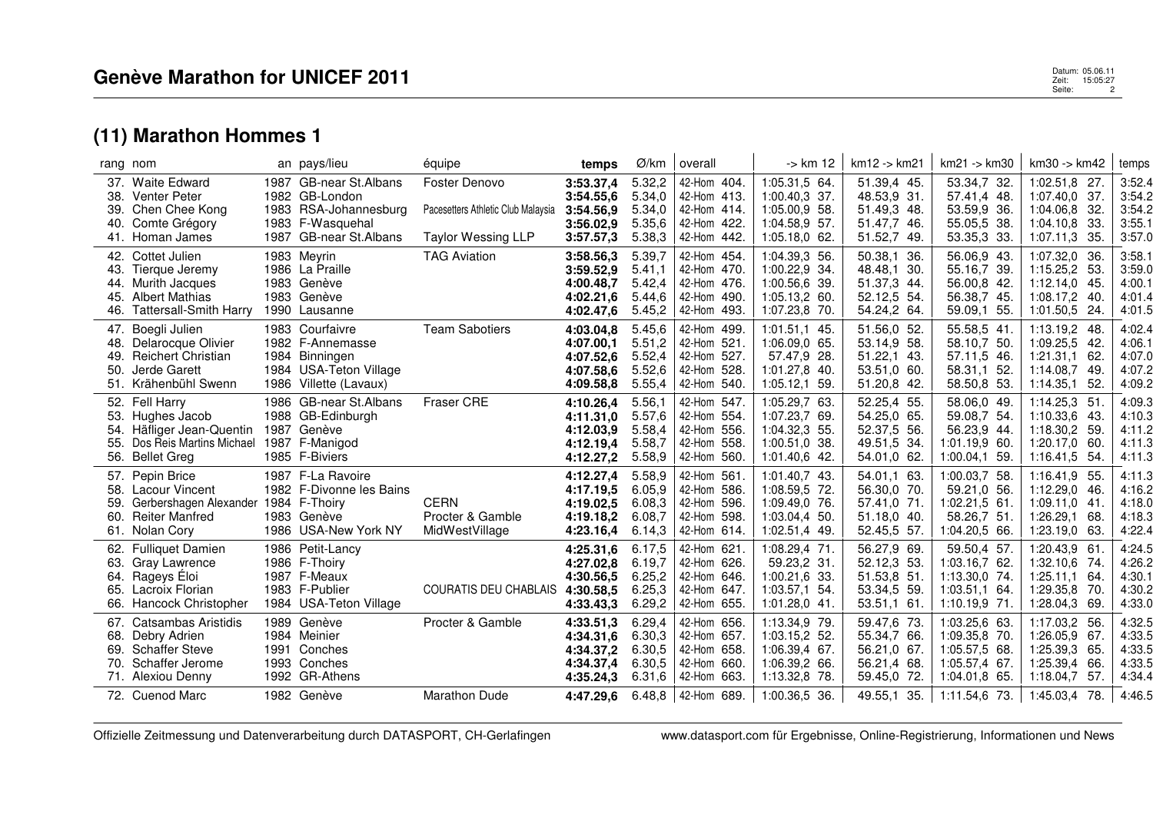## **(11) Marathon Hommes 1**

|                          | rang nom                                                                                                                 | an pays/lieu                                                                                                      | équipe                                                                           | temps                                                         | Ø/km                                           | overall                                                                |                              | -> km 12                                                                              | km12 -> km21                                                            | $km21 - > km30$                                                                   | km30 -> km42                                                                                   | temps                                          |
|--------------------------|--------------------------------------------------------------------------------------------------------------------------|-------------------------------------------------------------------------------------------------------------------|----------------------------------------------------------------------------------|---------------------------------------------------------------|------------------------------------------------|------------------------------------------------------------------------|------------------------------|---------------------------------------------------------------------------------------|-------------------------------------------------------------------------|-----------------------------------------------------------------------------------|------------------------------------------------------------------------------------------------|------------------------------------------------|
| 39.<br>40.               | 37. Waite Edward<br>38. Venter Peter<br>Chen Chee Kong<br>Comte Grégory<br>41. Homan James                               | 1987 GB-near St. Albans<br>1982 GB-London<br>1983 RSA-Johannesburg<br>1983 F-Wasquehal<br>1987 GB-near St. Albans | Foster Denovo<br>Pacesetters Athletic Club Malaysia<br><b>Taylor Wessing LLP</b> | 3:53.37,4<br>3:54.55,6<br>3:54.56.9<br>3:56.02,9<br>3:57.57,3 | 5.32,2<br>5.34,0<br>5.34,0<br>5.35,6<br>5.38,3 | 42-Hom 404.<br>42-Hom 413.<br>42-Hom 414.<br>42-Hom 422.<br>42-Hom     | 442.                         | 1:05.31,5 64.<br>1:00.40.3 37.<br>1:05.00.9 58.<br>1:04.58,9 57.<br>$1:05.18,0$ 62.   | 51.39,4 45.<br>48.53.9 31.<br>51.49,3 48.<br>51.47,7 46.<br>51.52,7 49. | 53.34,7 32.<br>57.41,4 48.<br>53.59,9 36.<br>55.05,5 38.<br>53.35,3 33.           | 1:02.51,8 27.<br>$1:07.40,0$ 37.<br>1:04.06,8 32.<br>$1:04.10,8$ 33.<br>1:07.11,3<br>-35.      | 3:52.4<br>3:54.2<br>3:54.2<br>3:55.1<br>3:57.0 |
| 44.<br>45.<br>46.        | 42. Cottet Julien<br>43. Tierque Jeremy<br>Murith Jacques<br><b>Albert Mathias</b><br><b>Tattersall-Smith Harry</b>      | 1983 Meyrin<br>1986 La Praille<br>1983 Genève<br>1983 Genève<br>1990 Lausanne                                     | <b>TAG Aviation</b>                                                              | 3:58.56,3<br>3:59.52.9<br>4:00.48,7<br>4:02.21,6<br>4:02.47.6 | 5.39,7<br>5.41,1<br>5.42,4<br>5.44,6<br>5.45,2 | 42-Hom 454.<br>42-Hom 470.<br>42-Hom 476.<br>42-Hom 490.<br>42-Hom     | 493.                         | 1:04.39,3 56.<br>1:00.22,9 34.<br>1:00.56,6 39.<br>1:05.13,2 60.<br>1:07.23,8 70.     | 50.38,1 36.<br>48.48,1 30.<br>51.37,3 44.<br>52.12,5 54.<br>54.24,2 64. | 56.06,9 43.<br>55.16,7 39.<br>56.00,8 42.<br>56.38,7 45.<br>59.09.1 55.           | 1:07.32,0 36.<br>1:15.25,2 53.<br>1:12.14,0<br>- 45.<br>1:08.17,2<br>- 40.<br>$1:01.50,5$ 24.  | 3:58.1<br>3:59.0<br>4:00.1<br>4:01.4<br>4:01.5 |
| 48.<br>50.<br>51.        | 47. Boegli Julien<br>Delarocque Olivier<br>49. Reichert Christian<br>Jerde Garett<br>Krähenbühl Swenn                    | 1983 Courfaivre<br>1982 F-Annemasse<br>1984 Binningen<br>1984 USA-Teton Village<br>1986 Villette (Lavaux)         | <b>Team Sabotiers</b>                                                            | 4:03.04.8<br>4:07.00.1<br>4:07.52,6<br>4:07.58,6<br>4:09.58,8 | 5.45,6<br>5.51,2<br>5.52,4<br>5.52,6<br>5.55,4 | 42-Hom 499.<br>42-Hom 521.<br>42-Hom 527.<br>42-Hom<br>42-Hom          | 528.<br>540.                 | $1:01.51,1$ 45.<br>1:06.09.0 65.<br>57.47,9 28.<br>1:01.27,8 40.<br>1:05.12,1<br>-59. | 51.56,0 52.<br>53.14.9 58.<br>51.22,1 43.<br>53.51,0 60.<br>51.20,8 42. | 55.58,5 41.<br>58.10,7 50.<br>57.11,5 46.<br>58.31,1 52.<br>58.50,8 53.           | 1:13.19,2 48.<br>1:09.25.5<br>-42<br>1:21.31,1<br>62.<br>1:14.08,7<br>-49.<br>1:14.35,1<br>52. | 4:02.4<br>4:06.1<br>4:07.0<br>4:07.2<br>4:09.2 |
| 54.<br>55.<br>56.        | 52. Fell Harry<br>53. Hughes Jacob<br>Häfliger Jean-Quentin<br>Dos Reis Martins Michael<br><b>Bellet Greg</b>            | 1986 GB-near St.Albans<br>1988 GB-Edinburgh<br>1987 Genève<br>1987 F-Manigod<br>1985 F-Biviers                    | Fraser CRE                                                                       | 4:10.26,4<br>4:11.31,0<br>4:12.03,9<br>4:12.19,4<br>4:12.27,2 | 5.56,1<br>5.57,6<br>5.58,4<br>5.58,7<br>5.58,9 | 42-Hom 547.<br>42-Hom 554.<br>42-Hom 556.<br>42-Hom<br>42-Hom 560.     | 558.                         | 1:05.29,7 63.<br>1:07.23,7 69.<br>1:04.32,3 55.<br>1:00.51,0 38.<br>1:01.40,6 42.     | 52.25,4 55.<br>54.25,0 65.<br>52.37,5 56.<br>49.51,5 34.<br>54.01,0 62. | 58.06,0 49.<br>59.08,7 54.<br>56.23,9 44.<br>1:01.19,9 60.<br>1:00.04,1 59.       | 1:14.25,3 51<br>1:10.33,6<br>-43.<br>1:18.30,2 59.<br>$1:20.17,0$ 60.<br>1:16.41,5<br>54.      | 4:09.3<br>4:10.3<br>4:11.2<br>4:11.3<br>4:11.3 |
| 59.<br>60.               | 57. Pepin Brice<br>58. Lacour Vincent<br>Gerbershagen Alexander 1984 F-Thoiry<br><b>Reiter Manfred</b><br>61. Nolan Cory | 1987 F-La Ravoire<br>1982 F-Divonne les Bains<br>1983 Genève<br>1986 USA-New York NY                              | <b>CERN</b><br>Procter & Gamble<br>MidWestVillage                                | 4:12.27,4<br>4:17.19,5<br>4:19.02.5<br>4:19.18,2<br>4:23.16,4 | 5.58,9<br>6.05,9<br>6.08.3<br>6.08,7<br>6.14,3 | 42-Hom 561<br>42-Hom 586.<br>42-Hom<br>42-Hom<br>42-Hom 614.           | 596.<br>598.                 | 1:01.40.7 43.<br>1:08.59,5 72.<br>1:09.49.0 76.<br>1:03.04,4 50.<br>1:02.51,4 49.     | 54.01.1 63.<br>56.30,0 70.<br>57.41,0 71.<br>51.18,0 40.<br>52.45,5 57. | 1:00.03,7 58.<br>59.21,0 56.<br>$1:02.21.5$ 61.<br>58.26,7 51.<br>1:04.20,5 66.   | 1:16.41.9 55.<br>1:12.29,0 46.<br>1:09.11,0<br>-41<br>1:26.29,1 68.<br>1:23.19,0 63.           | 4:11.3<br>4:16.2<br>4:18.0<br>4:18.3<br>4:22.4 |
| 63.<br>64.<br>65.<br>66. | 62. Fulliquet Damien<br>Gray Lawrence<br>Rageys Eloi<br>Lacroix Florian<br><b>Hancock Christopher</b>                    | 1986 Petit-Lancy<br>1986 F-Thoiry<br>1987 F-Meaux<br>1983 F-Publier<br>1984 USA-Teton Village                     | COURATIS DEU CHABLAIS 4:30.58,5                                                  | 4:25.31,6<br>4:27.02,8<br>4:30.56,5<br>4:33.43,3              | 6.17,5<br>6.19,7<br>6.25,2<br>6.25,3<br>6.29,2 | 42-Hom 621<br>42-Hom 626.<br>42-Hom 646.<br>42-Hom 647.<br>42-Hom 655. |                              | 1:08.29,4 71.<br>59.23,2 31.<br>1:00.21,6 33.<br>1:03.57,1 54.<br>1:01.28,0 41.       | 56.27,9 69.<br>52.12,3 53.<br>51.53,8 51.<br>53.34,5 59<br>53.51,1 61.  | 59.50,4 57.<br>1:03.16,7 62.<br>1:13.30,0 74.<br>1:03.51,1 64.<br>1:10.19,9 71.   | 1:20.43,9 61<br>1:32.10,6 74.<br>$1:25.11,1$ 64.<br>1:29.35,8<br>-70.<br>1:28.04,3 69.         | 4:24.5<br>4:26.2<br>4:30.1<br>4:30.2<br>4:33.0 |
| 68.<br>69.<br>70.        | 67. Catsambas Aristidis<br>Debry Adrien<br><b>Schaffer Steve</b><br>Schaffer Jerome<br>71. Alexiou Denny                 | 1989 Genève<br>1984 Meinier<br>1991 Conches<br>1993 Conches<br>1992 GR-Athens                                     | Procter & Gamble                                                                 | 4:33.51,3<br>4:34.31,6<br>4:34.37,2<br>4:34.37.4<br>4:35.24,3 | 6.29,4<br>6.30,3<br>6.30,5<br>6.30,5<br>6.31,6 | 42-Hom 656.<br>42-Hom<br>42-Hom<br>42-Hom<br>42-Hom                    | 657.<br>658.<br>660.<br>663. | 1:13.34,9 79.<br>1:03.15,2 52.<br>1:06.39,4 67.<br>1:06.39,2 66.<br>1:13.32,8 78.     | 59.47,6 73.<br>55.34,7 66.<br>56.21,0 67.<br>56.21,4 68.<br>59.45,0 72. | 1:03.25,6 63.<br>1:09.35,8 70.<br>1:05.57,5 68.<br>1:05.57,4 67.<br>1:04.01.8 65. | 1:17.03,2 56.<br>1:26.05,9 67.<br>1:25.39,3 65.<br>1:25.39.4<br>-66.<br>1:18.04,7<br>57.       | 4:32.5<br>4:33.5<br>4:33.5<br>4:33.5<br>4:34.4 |
|                          | 72. Cuenod Marc                                                                                                          | 1982 Genève                                                                                                       | <b>Marathon Dude</b>                                                             | 4:47.29.6                                                     |                                                | $6.48.8$   42-Hom 689.                                                 |                              | 1:00.36.5 36.                                                                         | 49.55,1 35.                                                             | 1:11.54,6 73.                                                                     | 1:45.03.4<br>78.                                                                               | 4:46.5                                         |

 $\bar{1}$ 

Offizielle Zeitmessung und Datenverarbeitung durch DATASPORT, CH-Gerlafingen www.datasport.com für Ergebnisse, Online-Registrierung, Informationen und News

 Datum: 05.06.11 Zeit: 15:05:27 Seite: 2